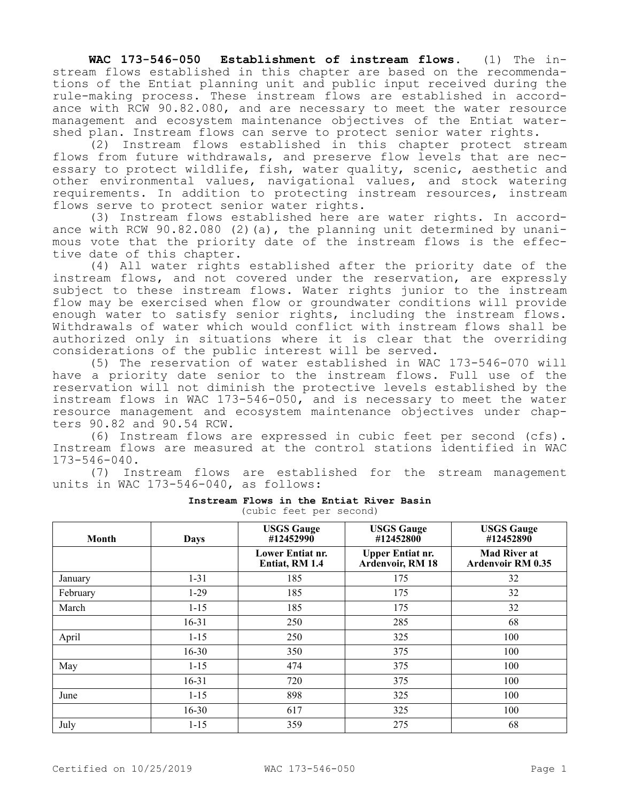**WAC 173-546-050 Establishment of instream flows.** (1) The instream flows established in this chapter are based on the recommendations of the Entiat planning unit and public input received during the rule-making process. These instream flows are established in accordance with RCW 90.82.080, and are necessary to meet the water resource management and ecosystem maintenance objectives of the Entiat watershed plan. Instream flows can serve to protect senior water rights.

(2) Instream flows established in this chapter protect stream flows from future withdrawals, and preserve flow levels that are necessary to protect wildlife, fish, water quality, scenic, aesthetic and other environmental values, navigational values, and stock watering requirements. In addition to protecting instream resources, instream flows serve to protect senior water rights.

(3) Instream flows established here are water rights. In accordance with RCW 90.82.080 (2)(a), the planning unit determined by unanimous vote that the priority date of the instream flows is the effective date of this chapter.

(4) All water rights established after the priority date of the instream flows, and not covered under the reservation, are expressly subject to these instream flows. Water rights junior to the instream flow may be exercised when flow or groundwater conditions will provide enough water to satisfy senior rights, including the instream flows. Withdrawals of water which would conflict with instream flows shall be authorized only in situations where it is clear that the overriding considerations of the public interest will be served.

(5) The reservation of water established in WAC 173-546-070 will have a priority date senior to the instream flows. Full use of the reservation will not diminish the protective levels established by the instream flows in WAC 173-546-050, and is necessary to meet the water resource management and ecosystem maintenance objectives under chapters 90.82 and 90.54 RCW.

(6) Instream flows are expressed in cubic feet per second (cfs). Instream flows are measured at the control stations identified in WAC 173-546-040.

(7) Instream flows are established for the stream management units in WAC 173-546-040, as follows:

| <b>Month</b> | <b>Days</b> | <b>USGS Gauge</b><br>#12452990     | <b>USGS Gauge</b><br>#12452800              | <b>USGS Gauge</b><br>#12452890                  |
|--------------|-------------|------------------------------------|---------------------------------------------|-------------------------------------------------|
|              |             | Lower Entiat nr.<br>Entiat, RM 1.4 | <b>Upper Entiat nr.</b><br>Ardenvoir, RM 18 | <b>Mad River at</b><br><b>Ardenvoir RM 0.35</b> |
| January      | $1 - 31$    | 185                                | 175                                         | 32                                              |
| February     | $1-29$      | 185                                | 175                                         | 32                                              |
| March        | $1 - 15$    | 185                                | 175                                         | 32                                              |
|              | $16 - 31$   | 250                                | 285                                         | 68                                              |
| April        | $1 - 15$    | 250                                | 325                                         | 100                                             |
|              | $16 - 30$   | 350                                | 375                                         | 100                                             |
| May          | $1 - 15$    | 474                                | 375                                         | 100                                             |
|              | $16 - 31$   | 720                                | 375                                         | 100                                             |
| June         | $1 - 15$    | 898                                | 325                                         | 100                                             |
|              | $16 - 30$   | 617                                | 325                                         | 100                                             |
| July         | $1 - 15$    | 359                                | 275                                         | 68                                              |

## **Instream Flows in the Entiat River Basin** (cubic feet per second)